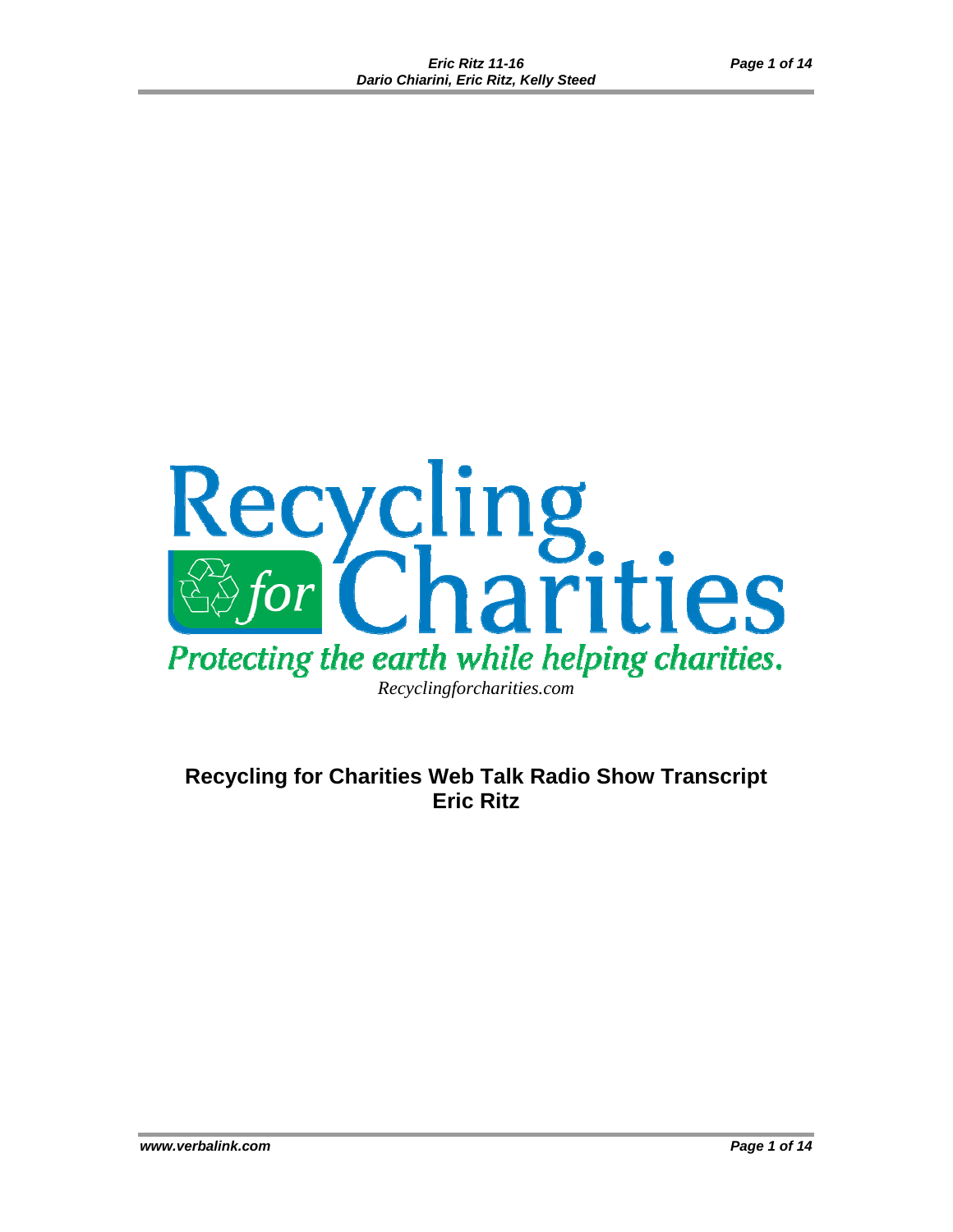

## **Recycling for Charities Web Talk Radio Show Transcript Eric Ritz**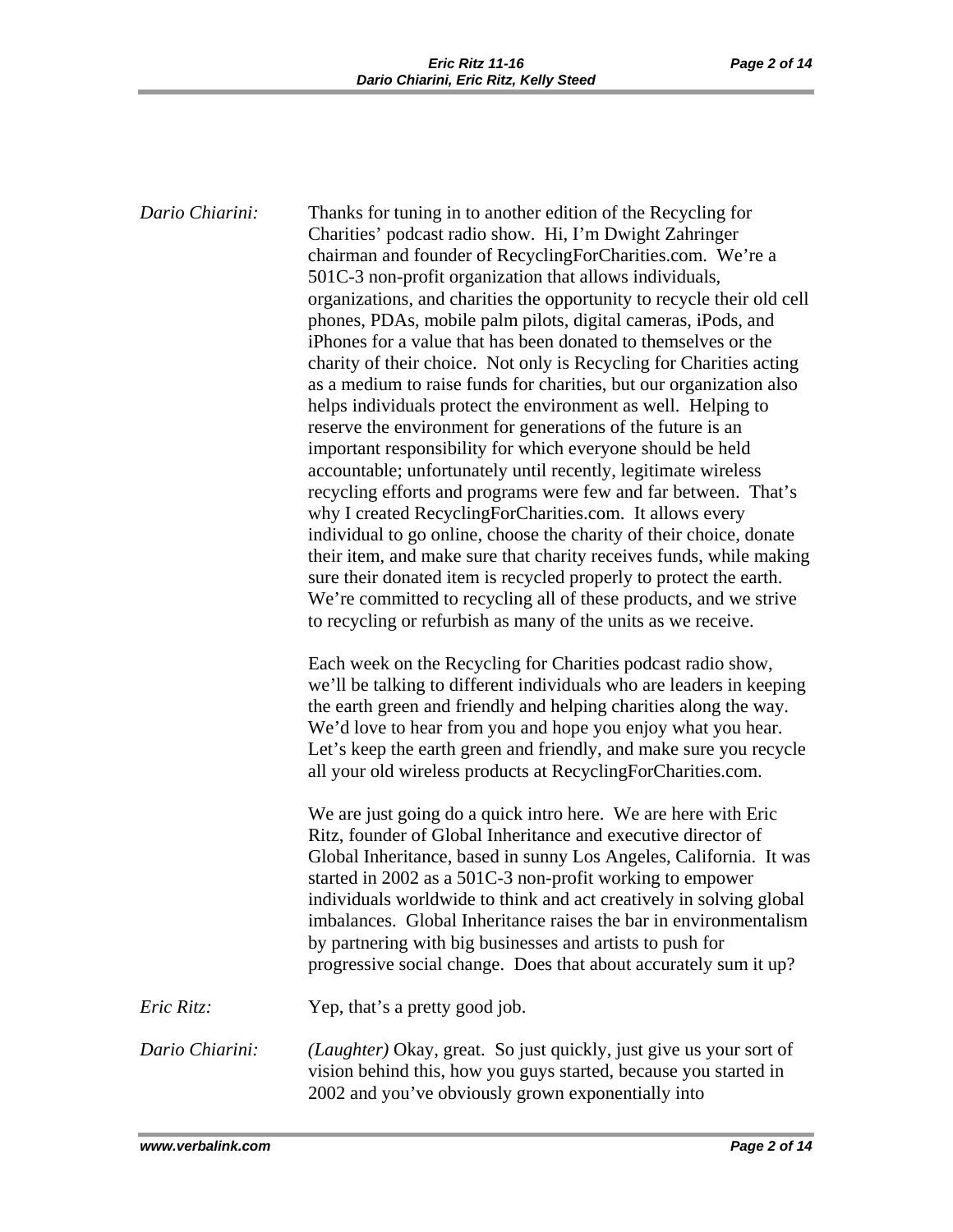*Dario Chiarini:* Thanks for tuning in to another edition of the Recycling for Charities' podcast radio show. Hi, I'm Dwight Zahringer chairman and founder of RecyclingForCharities.com. We're a 501C-3 non-profit organization that allows individuals, organizations, and charities the opportunity to recycle their old cell phones, PDAs, mobile palm pilots, digital cameras, iPods, and iPhones for a value that has been donated to themselves or the charity of their choice. Not only is Recycling for Charities acting as a medium to raise funds for charities, but our organization also helps individuals protect the environment as well. Helping to reserve the environment for generations of the future is an important responsibility for which everyone should be held accountable; unfortunately until recently, legitimate wireless recycling efforts and programs were few and far between. That's why I created RecyclingForCharities.com. It allows every individual to go online, choose the charity of their choice, donate their item, and make sure that charity receives funds, while making sure their donated item is recycled properly to protect the earth. We're committed to recycling all of these products, and we strive to recycling or refurbish as many of the units as we receive. Each week on the Recycling for Charities podcast radio show, we'll be talking to different individuals who are leaders in keeping the earth green and friendly and helping charities along the way. We'd love to hear from you and hope you enjoy what you hear. Let's keep the earth green and friendly, and make sure you recycle all your old wireless products at RecyclingForCharities.com. We are just going do a quick intro here. We are here with Eric Ritz, founder of Global Inheritance and executive director of Global Inheritance, based in sunny Los Angeles, California. It was started in 2002 as a 501C-3 non-profit working to empower individuals worldwide to think and act creatively in solving global imbalances. Global Inheritance raises the bar in environmentalism by partnering with big businesses and artists to push for progressive social change. Does that about accurately sum it up? *Eric Ritz:* Yep, that's a pretty good job. *Dario Chiarini: (Laughter)* Okay, great. So just quickly, just give us your sort of vision behind this, how you guys started, because you started in 2002 and you've obviously grown exponentially into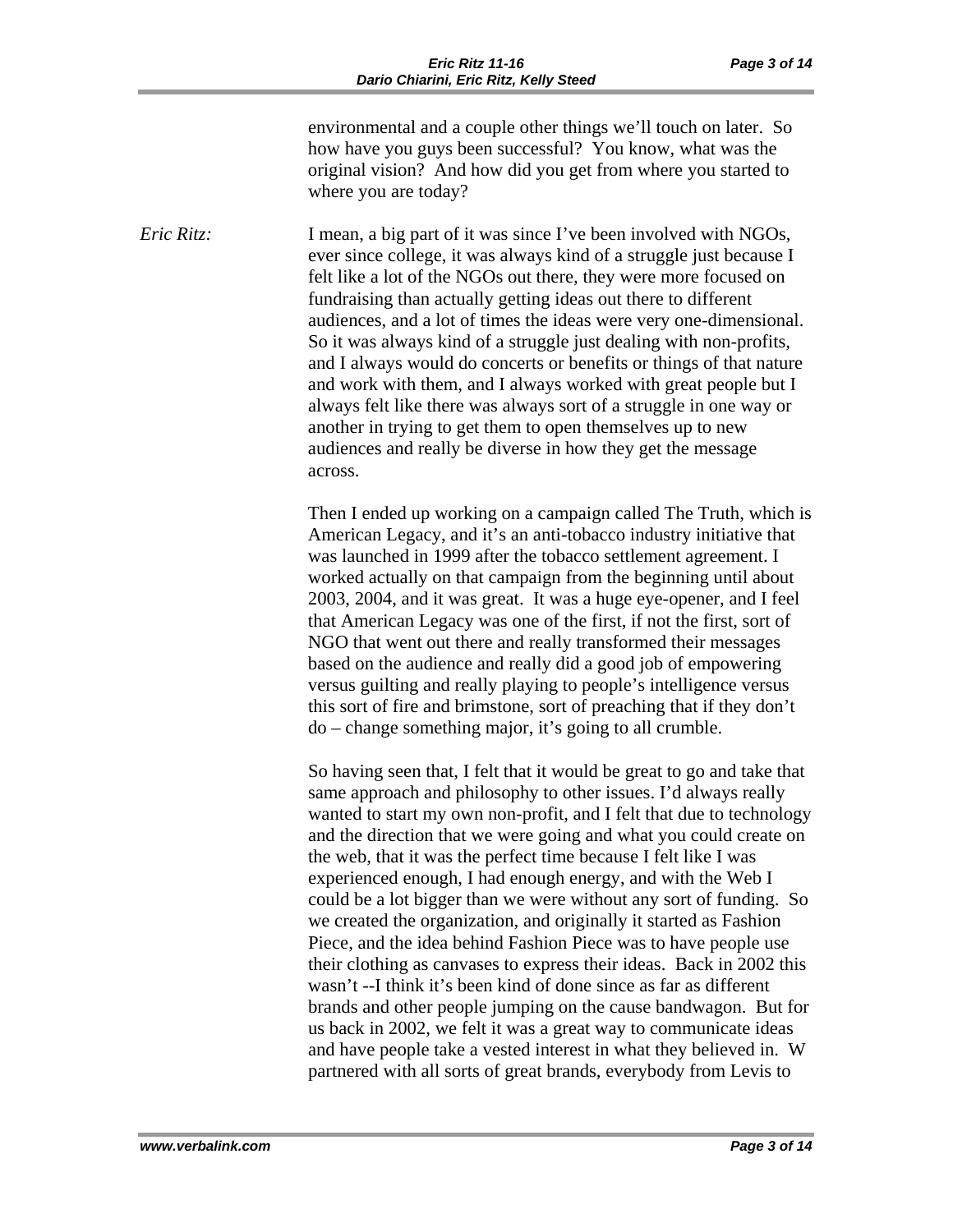environmental and a couple other things we'll touch on later. So how have you guys been successful? You know, what was the original vision? And how did you get from where you started to where you are today?

*Eric Ritz:* I mean, a big part of it was since I've been involved with NGOs, ever since college, it was always kind of a struggle just because I felt like a lot of the NGOs out there, they were more focused on fundraising than actually getting ideas out there to different audiences, and a lot of times the ideas were very one-dimensional. So it was always kind of a struggle just dealing with non-profits, and I always would do concerts or benefits or things of that nature and work with them, and I always worked with great people but I always felt like there was always sort of a struggle in one way or another in trying to get them to open themselves up to new audiences and really be diverse in how they get the message across.

> Then I ended up working on a campaign called The Truth, which is American Legacy, and it's an anti-tobacco industry initiative that was launched in 1999 after the tobacco settlement agreement. I worked actually on that campaign from the beginning until about 2003, 2004, and it was great. It was a huge eye-opener, and I feel that American Legacy was one of the first, if not the first, sort of NGO that went out there and really transformed their messages based on the audience and really did a good job of empowering versus guilting and really playing to people's intelligence versus this sort of fire and brimstone, sort of preaching that if they don't do – change something major, it's going to all crumble.

> So having seen that, I felt that it would be great to go and take that same approach and philosophy to other issues. I'd always really wanted to start my own non-profit, and I felt that due to technology and the direction that we were going and what you could create on the web, that it was the perfect time because I felt like I was experienced enough, I had enough energy, and with the Web I could be a lot bigger than we were without any sort of funding. So we created the organization, and originally it started as Fashion Piece, and the idea behind Fashion Piece was to have people use their clothing as canvases to express their ideas. Back in 2002 this wasn't --I think it's been kind of done since as far as different brands and other people jumping on the cause bandwagon. But for us back in 2002, we felt it was a great way to communicate ideas and have people take a vested interest in what they believed in. W partnered with all sorts of great brands, everybody from Levis to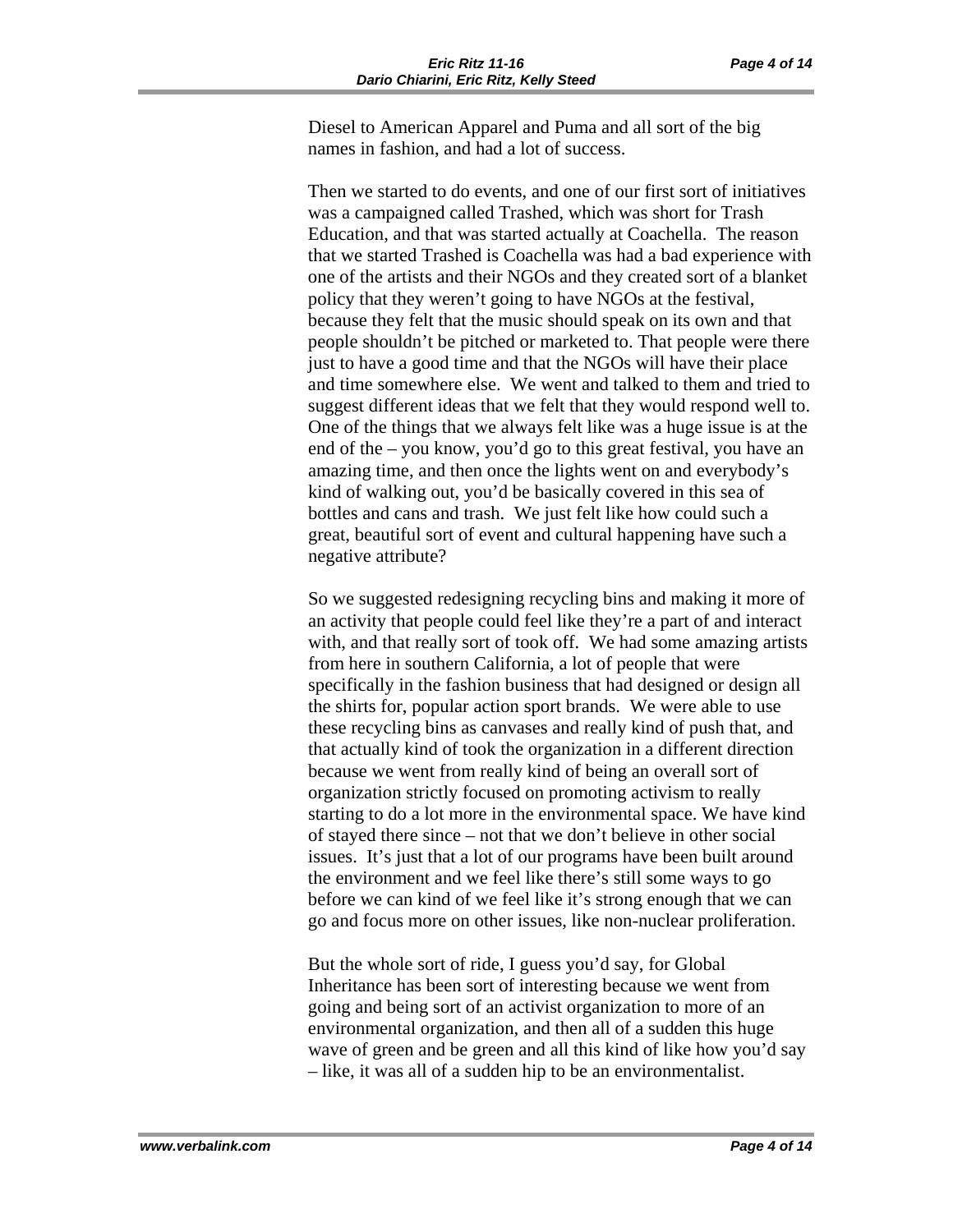Diesel to American Apparel and Puma and all sort of the big names in fashion, and had a lot of success.

Then we started to do events, and one of our first sort of initiatives was a campaigned called Trashed, which was short for Trash Education, and that was started actually at Coachella. The reason that we started Trashed is Coachella was had a bad experience with one of the artists and their NGOs and they created sort of a blanket policy that they weren't going to have NGOs at the festival, because they felt that the music should speak on its own and that people shouldn't be pitched or marketed to. That people were there just to have a good time and that the NGOs will have their place and time somewhere else. We went and talked to them and tried to suggest different ideas that we felt that they would respond well to. One of the things that we always felt like was a huge issue is at the end of the – you know, you'd go to this great festival, you have an amazing time, and then once the lights went on and everybody's kind of walking out, you'd be basically covered in this sea of bottles and cans and trash. We just felt like how could such a great, beautiful sort of event and cultural happening have such a negative attribute?

So we suggested redesigning recycling bins and making it more of an activity that people could feel like they're a part of and interact with, and that really sort of took off. We had some amazing artists from here in southern California, a lot of people that were specifically in the fashion business that had designed or design all the shirts for, popular action sport brands. We were able to use these recycling bins as canvases and really kind of push that, and that actually kind of took the organization in a different direction because we went from really kind of being an overall sort of organization strictly focused on promoting activism to really starting to do a lot more in the environmental space. We have kind of stayed there since – not that we don't believe in other social issues. It's just that a lot of our programs have been built around the environment and we feel like there's still some ways to go before we can kind of we feel like it's strong enough that we can go and focus more on other issues, like non-nuclear proliferation.

But the whole sort of ride, I guess you'd say, for Global Inheritance has been sort of interesting because we went from going and being sort of an activist organization to more of an environmental organization, and then all of a sudden this huge wave of green and be green and all this kind of like how you'd say – like, it was all of a sudden hip to be an environmentalist.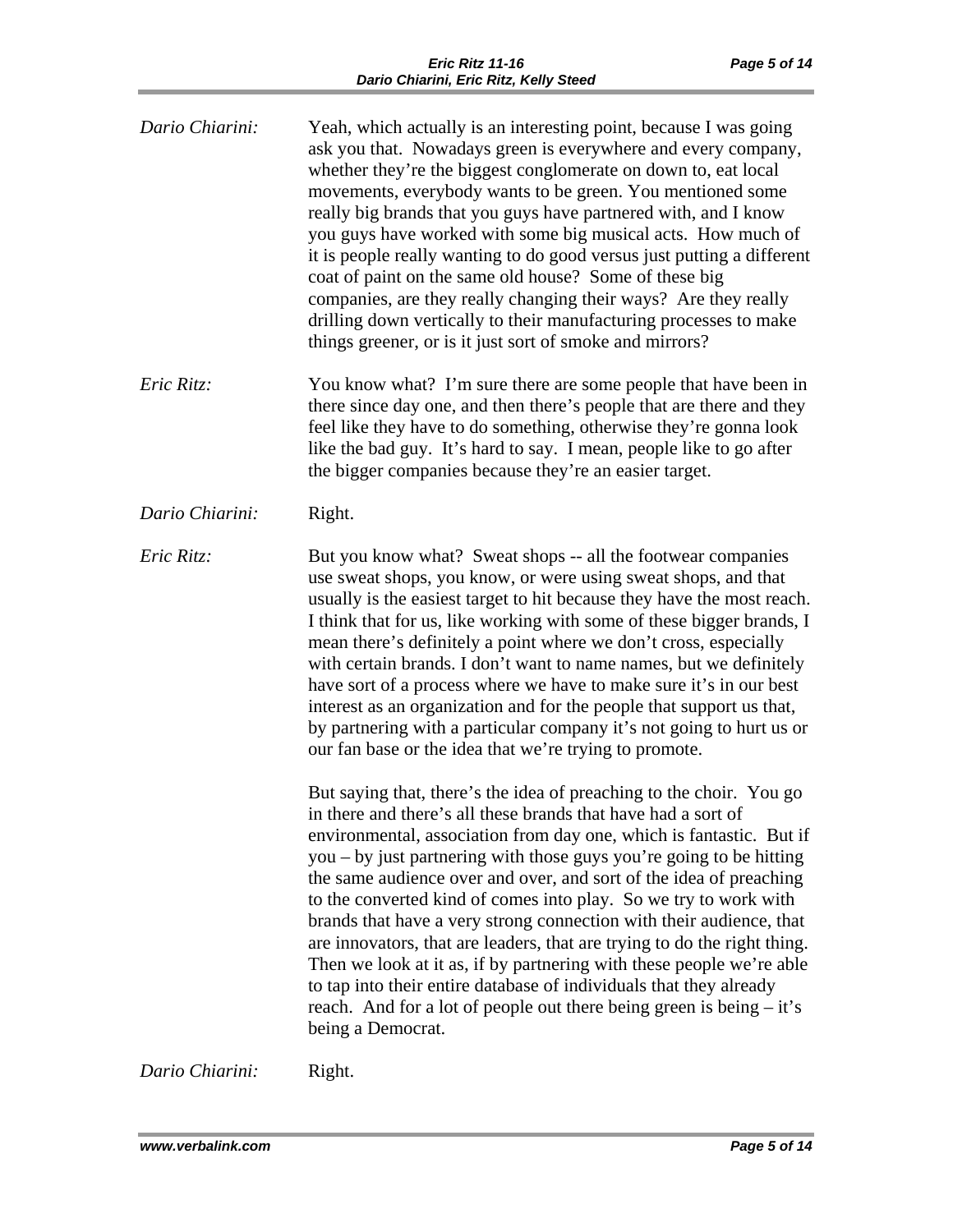| Dario Chiarini: | Yeah, which actually is an interesting point, because I was going<br>ask you that. Nowadays green is everywhere and every company,<br>whether they're the biggest conglomerate on down to, eat local<br>movements, everybody wants to be green. You mentioned some<br>really big brands that you guys have partnered with, and I know<br>you guys have worked with some big musical acts. How much of<br>it is people really wanting to do good versus just putting a different<br>coat of paint on the same old house? Some of these big<br>companies, are they really changing their ways? Are they really<br>drilling down vertically to their manufacturing processes to make<br>things greener, or is it just sort of smoke and mirrors?                                                                                |
|-----------------|------------------------------------------------------------------------------------------------------------------------------------------------------------------------------------------------------------------------------------------------------------------------------------------------------------------------------------------------------------------------------------------------------------------------------------------------------------------------------------------------------------------------------------------------------------------------------------------------------------------------------------------------------------------------------------------------------------------------------------------------------------------------------------------------------------------------------|
| Eric Ritz:      | You know what? I'm sure there are some people that have been in<br>there since day one, and then there's people that are there and they<br>feel like they have to do something, otherwise they're gonna look<br>like the bad guy. It's hard to say. I mean, people like to go after<br>the bigger companies because they're an easier target.                                                                                                                                                                                                                                                                                                                                                                                                                                                                                |
| Dario Chiarini: | Right.                                                                                                                                                                                                                                                                                                                                                                                                                                                                                                                                                                                                                                                                                                                                                                                                                       |
| Eric Ritz:      | But you know what? Sweat shops -- all the footwear companies<br>use sweat shops, you know, or were using sweat shops, and that<br>usually is the easiest target to hit because they have the most reach.<br>I think that for us, like working with some of these bigger brands, I<br>mean there's definitely a point where we don't cross, especially<br>with certain brands. I don't want to name names, but we definitely<br>have sort of a process where we have to make sure it's in our best<br>interest as an organization and for the people that support us that,<br>by partnering with a particular company it's not going to hurt us or<br>our fan base or the idea that we're trying to promote.                                                                                                                  |
|                 | But saying that, there's the idea of preaching to the choir. You go<br>in there and there's all these brands that have had a sort of<br>environmental, association from day one, which is fantastic. But if<br>you – by just partnering with those guys you're going to be hitting<br>the same audience over and over, and sort of the idea of preaching<br>to the converted kind of comes into play. So we try to work with<br>brands that have a very strong connection with their audience, that<br>are innovators, that are leaders, that are trying to do the right thing.<br>Then we look at it as, if by partnering with these people we're able<br>to tap into their entire database of individuals that they already<br>reach. And for a lot of people out there being green is being $-$ it's<br>being a Democrat. |

*Dario Chiarini:* Right.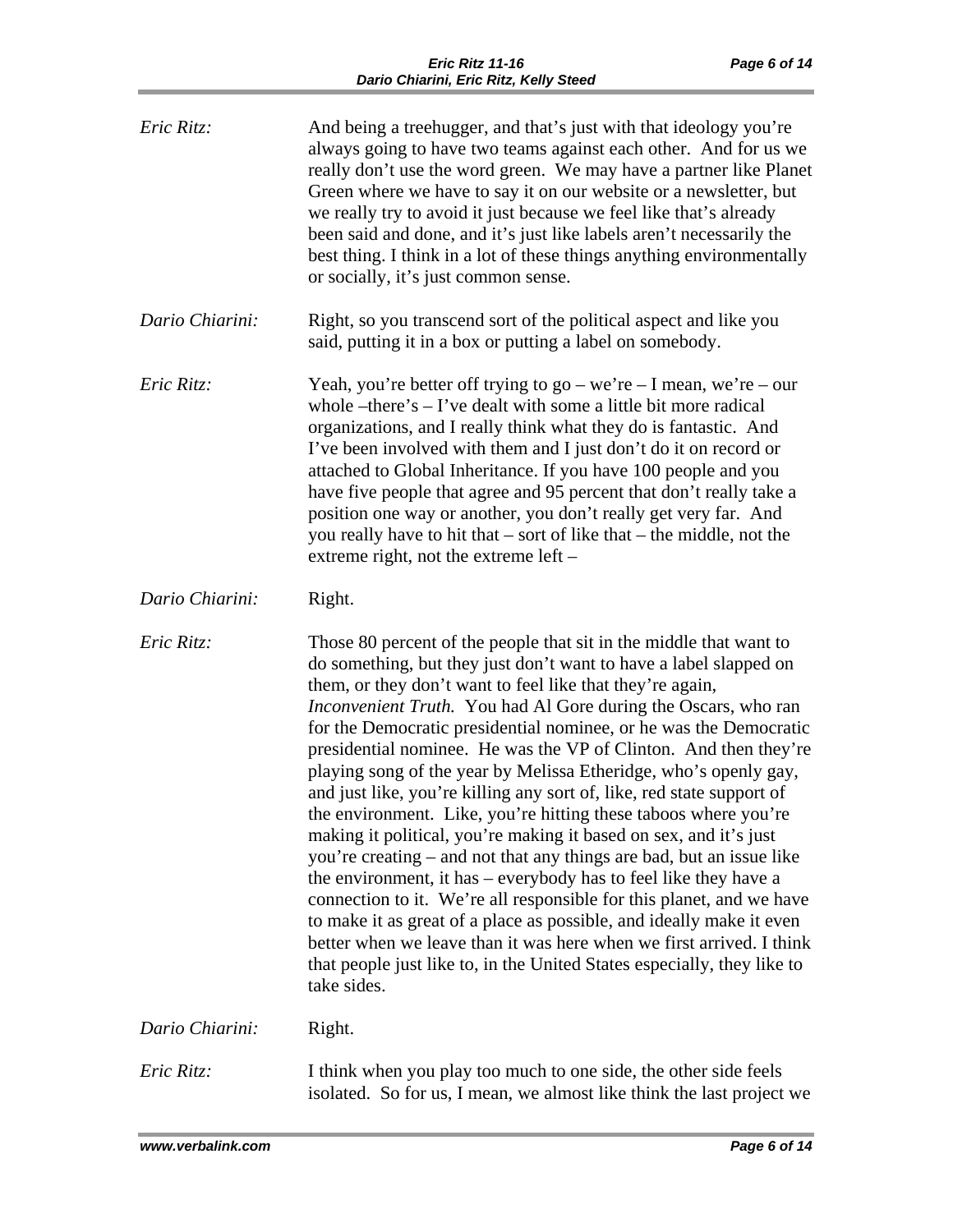| Eric Ritz:      | And being a treehugger, and that's just with that ideology you're<br>always going to have two teams against each other. And for us we<br>really don't use the word green. We may have a partner like Planet<br>Green where we have to say it on our website or a newsletter, but<br>we really try to avoid it just because we feel like that's already<br>been said and done, and it's just like labels aren't necessarily the<br>best thing. I think in a lot of these things anything environmentally<br>or socially, it's just common sense.                                                                                                                                                                                                                                                                                                                                                                                                                                                                                                                                                                                                                    |
|-----------------|--------------------------------------------------------------------------------------------------------------------------------------------------------------------------------------------------------------------------------------------------------------------------------------------------------------------------------------------------------------------------------------------------------------------------------------------------------------------------------------------------------------------------------------------------------------------------------------------------------------------------------------------------------------------------------------------------------------------------------------------------------------------------------------------------------------------------------------------------------------------------------------------------------------------------------------------------------------------------------------------------------------------------------------------------------------------------------------------------------------------------------------------------------------------|
| Dario Chiarini: | Right, so you transcend sort of the political aspect and like you<br>said, putting it in a box or putting a label on somebody.                                                                                                                                                                                                                                                                                                                                                                                                                                                                                                                                                                                                                                                                                                                                                                                                                                                                                                                                                                                                                                     |
| Eric Ritz:      | Yeah, you're better off trying to $go - we're - I$ mean, we're – our<br>whole $-$ there's $-$ I've dealt with some a little bit more radical<br>organizations, and I really think what they do is fantastic. And<br>I've been involved with them and I just don't do it on record or<br>attached to Global Inheritance. If you have 100 people and you<br>have five people that agree and 95 percent that don't really take a<br>position one way or another, you don't really get very far. And<br>you really have to hit that – sort of like that – the middle, not the<br>extreme right, not the extreme left –                                                                                                                                                                                                                                                                                                                                                                                                                                                                                                                                                 |
| Dario Chiarini: | Right.                                                                                                                                                                                                                                                                                                                                                                                                                                                                                                                                                                                                                                                                                                                                                                                                                                                                                                                                                                                                                                                                                                                                                             |
| Eric Ritz:      | Those 80 percent of the people that sit in the middle that want to<br>do something, but they just don't want to have a label slapped on<br>them, or they don't want to feel like that they're again,<br>Inconvenient Truth. You had Al Gore during the Oscars, who ran<br>for the Democratic presidential nominee, or he was the Democratic<br>presidential nominee. He was the VP of Clinton. And then they're<br>playing song of the year by Melissa Etheridge, who's openly gay,<br>and just like, you're killing any sort of, like, red state support of<br>the environment. Like, you're hitting these taboos where you're<br>making it political, you're making it based on sex, and it's just<br>you're creating – and not that any things are bad, but an issue like<br>the environment, it has – everybody has to feel like they have a<br>connection to it. We're all responsible for this planet, and we have<br>to make it as great of a place as possible, and ideally make it even<br>better when we leave than it was here when we first arrived. I think<br>that people just like to, in the United States especially, they like to<br>take sides. |
| Dario Chiarini: | Right.                                                                                                                                                                                                                                                                                                                                                                                                                                                                                                                                                                                                                                                                                                                                                                                                                                                                                                                                                                                                                                                                                                                                                             |
| Eric Ritz:      | I think when you play too much to one side, the other side feels<br>isolated. So for us, I mean, we almost like think the last project we                                                                                                                                                                                                                                                                                                                                                                                                                                                                                                                                                                                                                                                                                                                                                                                                                                                                                                                                                                                                                          |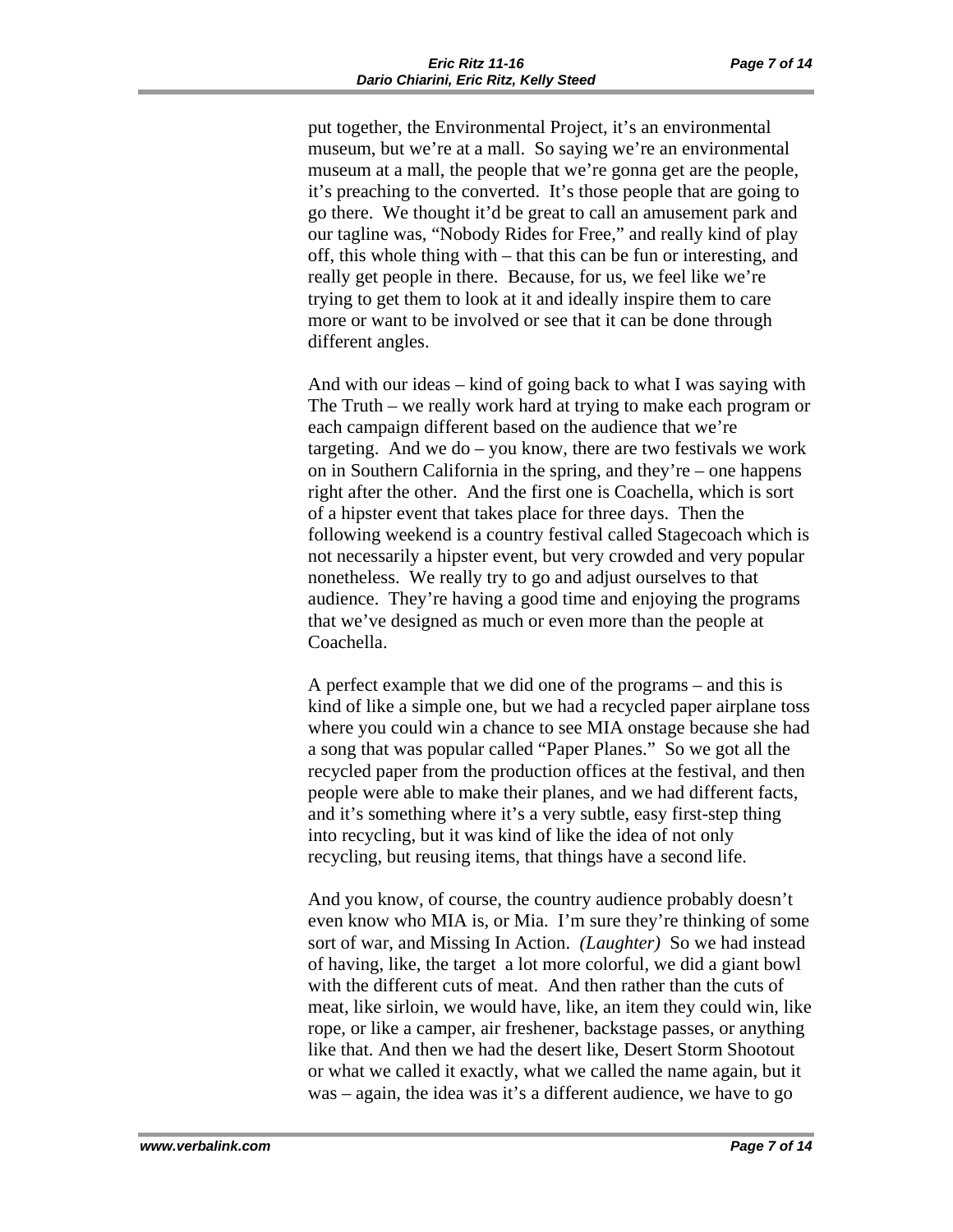put together, the Environmental Project, it's an environmental museum, but we're at a mall. So saying we're an environmental museum at a mall, the people that we're gonna get are the people, it's preaching to the converted. It's those people that are going to go there. We thought it'd be great to call an amusement park and our tagline was, "Nobody Rides for Free," and really kind of play off, this whole thing with – that this can be fun or interesting, and really get people in there. Because, for us, we feel like we're trying to get them to look at it and ideally inspire them to care more or want to be involved or see that it can be done through different angles.

And with our ideas – kind of going back to what I was saying with The Truth – we really work hard at trying to make each program or each campaign different based on the audience that we're targeting. And we do – you know, there are two festivals we work on in Southern California in the spring, and they're – one happens right after the other. And the first one is Coachella, which is sort of a hipster event that takes place for three days. Then the following weekend is a country festival called Stagecoach which is not necessarily a hipster event, but very crowded and very popular nonetheless. We really try to go and adjust ourselves to that audience. They're having a good time and enjoying the programs that we've designed as much or even more than the people at Coachella.

A perfect example that we did one of the programs – and this is kind of like a simple one, but we had a recycled paper airplane toss where you could win a chance to see MIA onstage because she had a song that was popular called "Paper Planes." So we got all the recycled paper from the production offices at the festival, and then people were able to make their planes, and we had different facts, and it's something where it's a very subtle, easy first-step thing into recycling, but it was kind of like the idea of not only recycling, but reusing items, that things have a second life.

And you know, of course, the country audience probably doesn't even know who MIA is, or Mia. I'm sure they're thinking of some sort of war, and Missing In Action. *(Laughter)* So we had instead of having, like, the target a lot more colorful, we did a giant bowl with the different cuts of meat. And then rather than the cuts of meat, like sirloin, we would have, like, an item they could win, like rope, or like a camper, air freshener, backstage passes, or anything like that. And then we had the desert like, Desert Storm Shootout or what we called it exactly, what we called the name again, but it was – again, the idea was it's a different audience, we have to go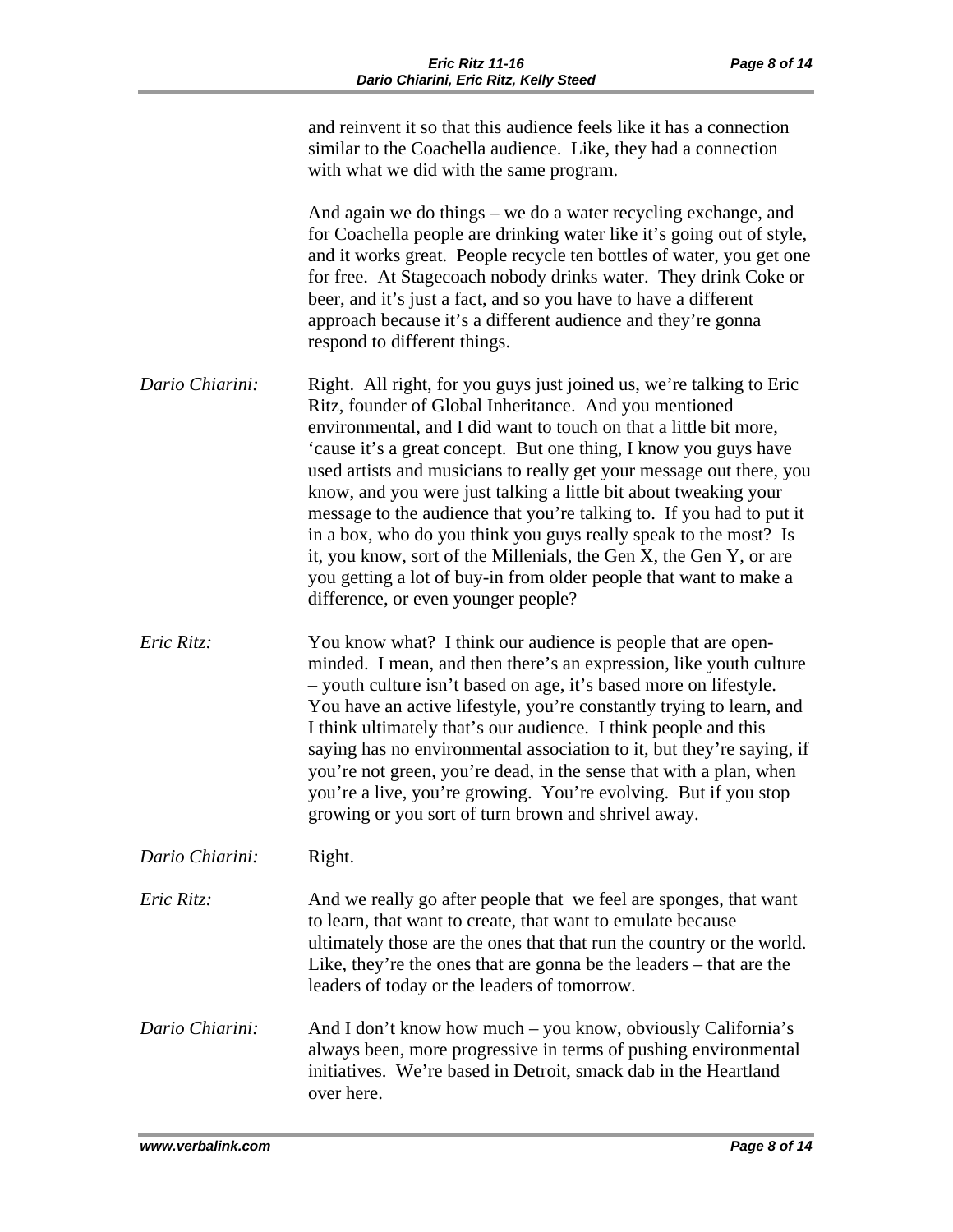|                 | and reinvent it so that this audience feels like it has a connection<br>similar to the Coachella audience. Like, they had a connection<br>with what we did with the same program.                                                                                                                                                                                                                                                                                                                                                                                                                                                                                                                                                                 |
|-----------------|---------------------------------------------------------------------------------------------------------------------------------------------------------------------------------------------------------------------------------------------------------------------------------------------------------------------------------------------------------------------------------------------------------------------------------------------------------------------------------------------------------------------------------------------------------------------------------------------------------------------------------------------------------------------------------------------------------------------------------------------------|
|                 | And again we do things – we do a water recycling exchange, and<br>for Coachella people are drinking water like it's going out of style,<br>and it works great. People recycle ten bottles of water, you get one<br>for free. At Stagecoach nobody drinks water. They drink Coke or<br>beer, and it's just a fact, and so you have to have a different<br>approach because it's a different audience and they're gonna<br>respond to different things.                                                                                                                                                                                                                                                                                             |
| Dario Chiarini: | Right. All right, for you guys just joined us, we're talking to Eric<br>Ritz, founder of Global Inheritance. And you mentioned<br>environmental, and I did want to touch on that a little bit more,<br>'cause it's a great concept. But one thing, I know you guys have<br>used artists and musicians to really get your message out there, you<br>know, and you were just talking a little bit about tweaking your<br>message to the audience that you're talking to. If you had to put it<br>in a box, who do you think you guys really speak to the most? Is<br>it, you know, sort of the Millenials, the Gen X, the Gen Y, or are<br>you getting a lot of buy-in from older people that want to make a<br>difference, or even younger people? |
| Eric Ritz:      | You know what? I think our audience is people that are open-<br>minded. I mean, and then there's an expression, like youth culture<br>- youth culture isn't based on age, it's based more on lifestyle.<br>You have an active lifestyle, you're constantly trying to learn, and<br>I think ultimately that's our audience. I think people and this<br>saying has no environmental association to it, but they're saying, if<br>you're not green, you're dead, in the sense that with a plan, when<br>you're a live, you're growing. You're evolving. But if you stop<br>growing or you sort of turn brown and shrivel away.                                                                                                                       |
| Dario Chiarini: | Right.                                                                                                                                                                                                                                                                                                                                                                                                                                                                                                                                                                                                                                                                                                                                            |
| Eric Ritz:      | And we really go after people that we feel are sponges, that want<br>to learn, that want to create, that want to emulate because<br>ultimately those are the ones that that run the country or the world.<br>Like, they're the ones that are gonna be the leaders $-$ that are the<br>leaders of today or the leaders of tomorrow.                                                                                                                                                                                                                                                                                                                                                                                                                |
| Dario Chiarini: | And I don't know how much – you know, obviously California's<br>always been, more progressive in terms of pushing environmental<br>initiatives. We're based in Detroit, smack dab in the Heartland<br>over here.                                                                                                                                                                                                                                                                                                                                                                                                                                                                                                                                  |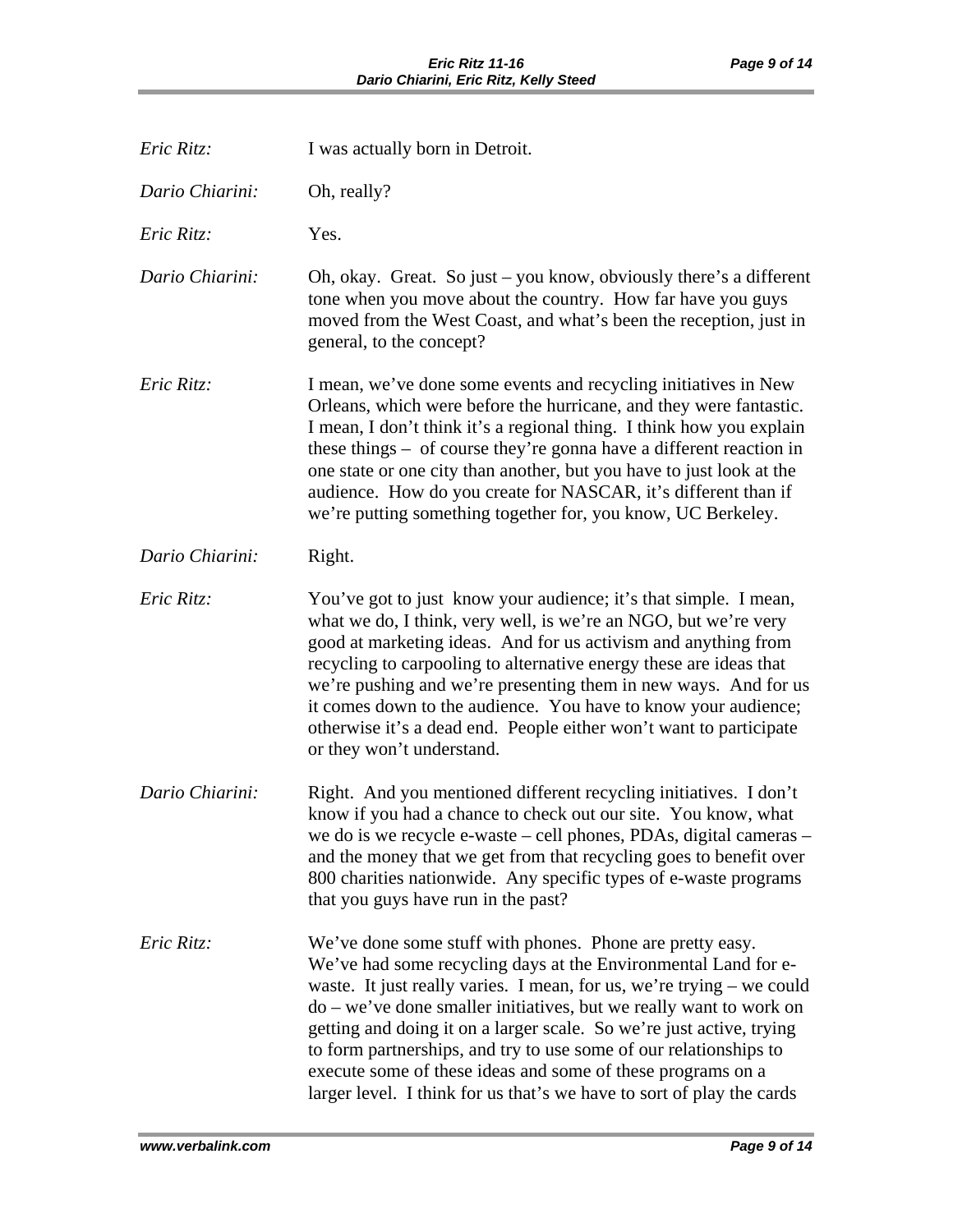| Eric Ritz:        | I was actually born in Detroit.                                                                                                                                                                                                                                                                                                                                                                                                                                                                                                                                 |
|-------------------|-----------------------------------------------------------------------------------------------------------------------------------------------------------------------------------------------------------------------------------------------------------------------------------------------------------------------------------------------------------------------------------------------------------------------------------------------------------------------------------------------------------------------------------------------------------------|
| Dario Chiarini:   | Oh, really?                                                                                                                                                                                                                                                                                                                                                                                                                                                                                                                                                     |
| <i>Eric Ritz:</i> | Yes.                                                                                                                                                                                                                                                                                                                                                                                                                                                                                                                                                            |
| Dario Chiarini:   | Oh, okay. Great. So just – you know, obviously there's a different<br>tone when you move about the country. How far have you guys<br>moved from the West Coast, and what's been the reception, just in<br>general, to the concept?                                                                                                                                                                                                                                                                                                                              |
| Eric Ritz:        | I mean, we've done some events and recycling initiatives in New<br>Orleans, which were before the hurricane, and they were fantastic.<br>I mean, I don't think it's a regional thing. I think how you explain<br>these things – of course they're gonna have a different reaction in<br>one state or one city than another, but you have to just look at the<br>audience. How do you create for NASCAR, it's different than if<br>we're putting something together for, you know, UC Berkeley.                                                                  |
| Dario Chiarini:   | Right.                                                                                                                                                                                                                                                                                                                                                                                                                                                                                                                                                          |
| Eric Ritz:        | You've got to just know your audience; it's that simple. I mean,<br>what we do, I think, very well, is we're an NGO, but we're very<br>good at marketing ideas. And for us activism and anything from<br>recycling to carpooling to alternative energy these are ideas that<br>we're pushing and we're presenting them in new ways. And for us<br>it comes down to the audience. You have to know your audience;<br>otherwise it's a dead end. People either won't want to participate<br>or they won't understand.                                             |
| Dario Chiarini:   | Right. And you mentioned different recycling initiatives. I don't<br>know if you had a chance to check out our site. You know, what<br>we do is we recycle e-waste – cell phones, PDAs, digital cameras –<br>and the money that we get from that recycling goes to benefit over<br>800 charities nationwide. Any specific types of e-waste programs<br>that you guys have run in the past?                                                                                                                                                                      |
| Eric Ritz:        | We've done some stuff with phones. Phone are pretty easy.<br>We've had some recycling days at the Environmental Land for e-<br>waste. It just really varies. I mean, for us, we're trying - we could<br>do – we've done smaller initiatives, but we really want to work on<br>getting and doing it on a larger scale. So we're just active, trying<br>to form partnerships, and try to use some of our relationships to<br>execute some of these ideas and some of these programs on a<br>larger level. I think for us that's we have to sort of play the cards |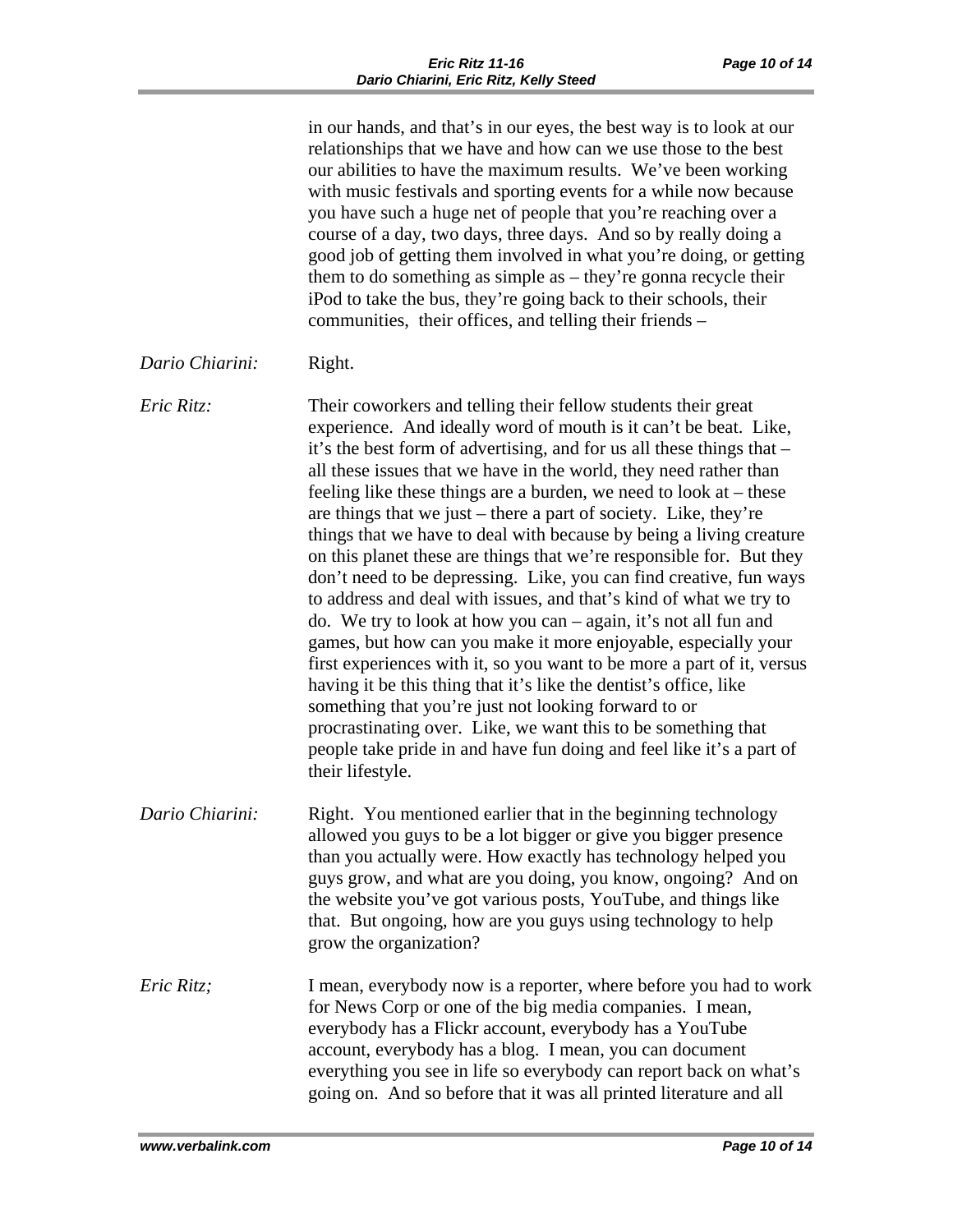|                 | in our hands, and that's in our eyes, the best way is to look at our<br>relationships that we have and how can we use those to the best<br>our abilities to have the maximum results. We've been working<br>with music festivals and sporting events for a while now because<br>you have such a huge net of people that you're reaching over a<br>course of a day, two days, three days. And so by really doing a<br>good job of getting them involved in what you're doing, or getting<br>them to do something as simple as $-$ they're gonna recycle their<br>iPod to take the bus, they're going back to their schools, their<br>communities, their offices, and telling their friends –                                                                                                                                                                                                                                                                                                                                                                                                                                                                                                                                       |
|-----------------|-----------------------------------------------------------------------------------------------------------------------------------------------------------------------------------------------------------------------------------------------------------------------------------------------------------------------------------------------------------------------------------------------------------------------------------------------------------------------------------------------------------------------------------------------------------------------------------------------------------------------------------------------------------------------------------------------------------------------------------------------------------------------------------------------------------------------------------------------------------------------------------------------------------------------------------------------------------------------------------------------------------------------------------------------------------------------------------------------------------------------------------------------------------------------------------------------------------------------------------|
| Dario Chiarini: | Right.                                                                                                                                                                                                                                                                                                                                                                                                                                                                                                                                                                                                                                                                                                                                                                                                                                                                                                                                                                                                                                                                                                                                                                                                                            |
| Eric Ritz:      | Their coworkers and telling their fellow students their great<br>experience. And ideally word of mouth is it can't be beat. Like,<br>it's the best form of advertising, and for us all these things that –<br>all these issues that we have in the world, they need rather than<br>feeling like these things are a burden, we need to look at $-$ these<br>are things that we just – there a part of society. Like, they're<br>things that we have to deal with because by being a living creature<br>on this planet these are things that we're responsible for. But they<br>don't need to be depressing. Like, you can find creative, fun ways<br>to address and deal with issues, and that's kind of what we try to<br>do. We try to look at how you can $-$ again, it's not all fun and<br>games, but how can you make it more enjoyable, especially your<br>first experiences with it, so you want to be more a part of it, versus<br>having it be this thing that it's like the dentist's office, like<br>something that you're just not looking forward to or<br>procrastinating over. Like, we want this to be something that<br>people take pride in and have fun doing and feel like it's a part of<br>their lifestyle. |
| Dario Chiarini: | Right. You mentioned earlier that in the beginning technology<br>allowed you guys to be a lot bigger or give you bigger presence<br>than you actually were. How exactly has technology helped you<br>guys grow, and what are you doing, you know, ongoing? And on<br>the website you've got various posts, YouTube, and things like<br>that. But ongoing, how are you guys using technology to help<br>grow the organization?                                                                                                                                                                                                                                                                                                                                                                                                                                                                                                                                                                                                                                                                                                                                                                                                     |
| Eric Ritz;      | I mean, everybody now is a reporter, where before you had to work<br>for News Corp or one of the big media companies. I mean,<br>everybody has a Flickr account, everybody has a YouTube<br>account, everybody has a blog. I mean, you can document<br>everything you see in life so everybody can report back on what's<br>going on. And so before that it was all printed literature and all                                                                                                                                                                                                                                                                                                                                                                                                                                                                                                                                                                                                                                                                                                                                                                                                                                    |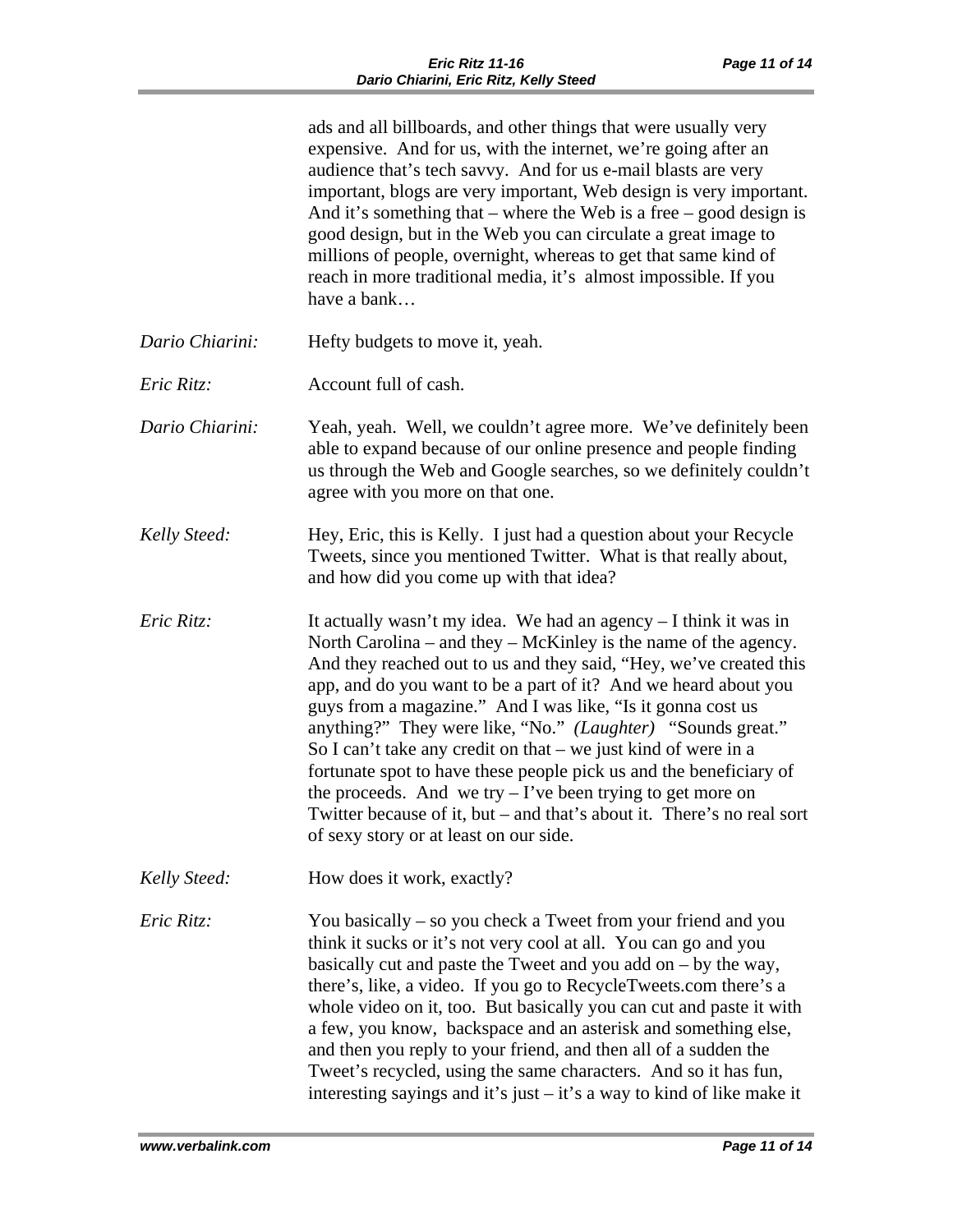|                 | ads and all billboards, and other things that were usually very<br>expensive. And for us, with the internet, we're going after an<br>audience that's tech savvy. And for us e-mail blasts are very<br>important, blogs are very important, Web design is very important.<br>And it's something that – where the Web is a free – good design is<br>good design, but in the Web you can circulate a great image to<br>millions of people, overnight, whereas to get that same kind of<br>reach in more traditional media, it's almost impossible. If you<br>have a bank                                                                                                                                                                   |
|-----------------|-----------------------------------------------------------------------------------------------------------------------------------------------------------------------------------------------------------------------------------------------------------------------------------------------------------------------------------------------------------------------------------------------------------------------------------------------------------------------------------------------------------------------------------------------------------------------------------------------------------------------------------------------------------------------------------------------------------------------------------------|
| Dario Chiarini: | Hefty budgets to move it, yeah.                                                                                                                                                                                                                                                                                                                                                                                                                                                                                                                                                                                                                                                                                                         |
| Eric Ritz:      | Account full of cash.                                                                                                                                                                                                                                                                                                                                                                                                                                                                                                                                                                                                                                                                                                                   |
| Dario Chiarini: | Yeah, yeah. Well, we couldn't agree more. We've definitely been<br>able to expand because of our online presence and people finding<br>us through the Web and Google searches, so we definitely couldn't<br>agree with you more on that one.                                                                                                                                                                                                                                                                                                                                                                                                                                                                                            |
| Kelly Steed:    | Hey, Eric, this is Kelly. I just had a question about your Recycle<br>Tweets, since you mentioned Twitter. What is that really about,<br>and how did you come up with that idea?                                                                                                                                                                                                                                                                                                                                                                                                                                                                                                                                                        |
| Eric Ritz:      | It actually wasn't my idea. We had an agency $-I$ think it was in<br>North Carolina – and they – McKinley is the name of the agency.<br>And they reached out to us and they said, "Hey, we've created this<br>app, and do you want to be a part of it? And we heard about you<br>guys from a magazine." And I was like, "Is it gonna cost us<br>anything?" They were like, "No." (Laughter) "Sounds great."<br>So I can't take any credit on that – we just kind of were in a<br>fortunate spot to have these people pick us and the beneficiary of<br>the proceeds. And we try $-I$ 've been trying to get more on<br>Twitter because of it, but – and that's about it. There's no real sort<br>of sexy story or at least on our side. |
| Kelly Steed:    | How does it work, exactly?                                                                                                                                                                                                                                                                                                                                                                                                                                                                                                                                                                                                                                                                                                              |
| Eric Ritz:      | You basically – so you check a Tweet from your friend and you<br>think it sucks or it's not very cool at all. You can go and you<br>basically cut and paste the Tweet and you add on $-$ by the way,<br>there's, like, a video. If you go to RecycleTweets.com there's a<br>whole video on it, too. But basically you can cut and paste it with<br>a few, you know, backspace and an asterisk and something else,<br>and then you reply to your friend, and then all of a sudden the<br>Tweet's recycled, using the same characters. And so it has fun,<br>interesting sayings and it's just – it's a way to kind of like make it                                                                                                       |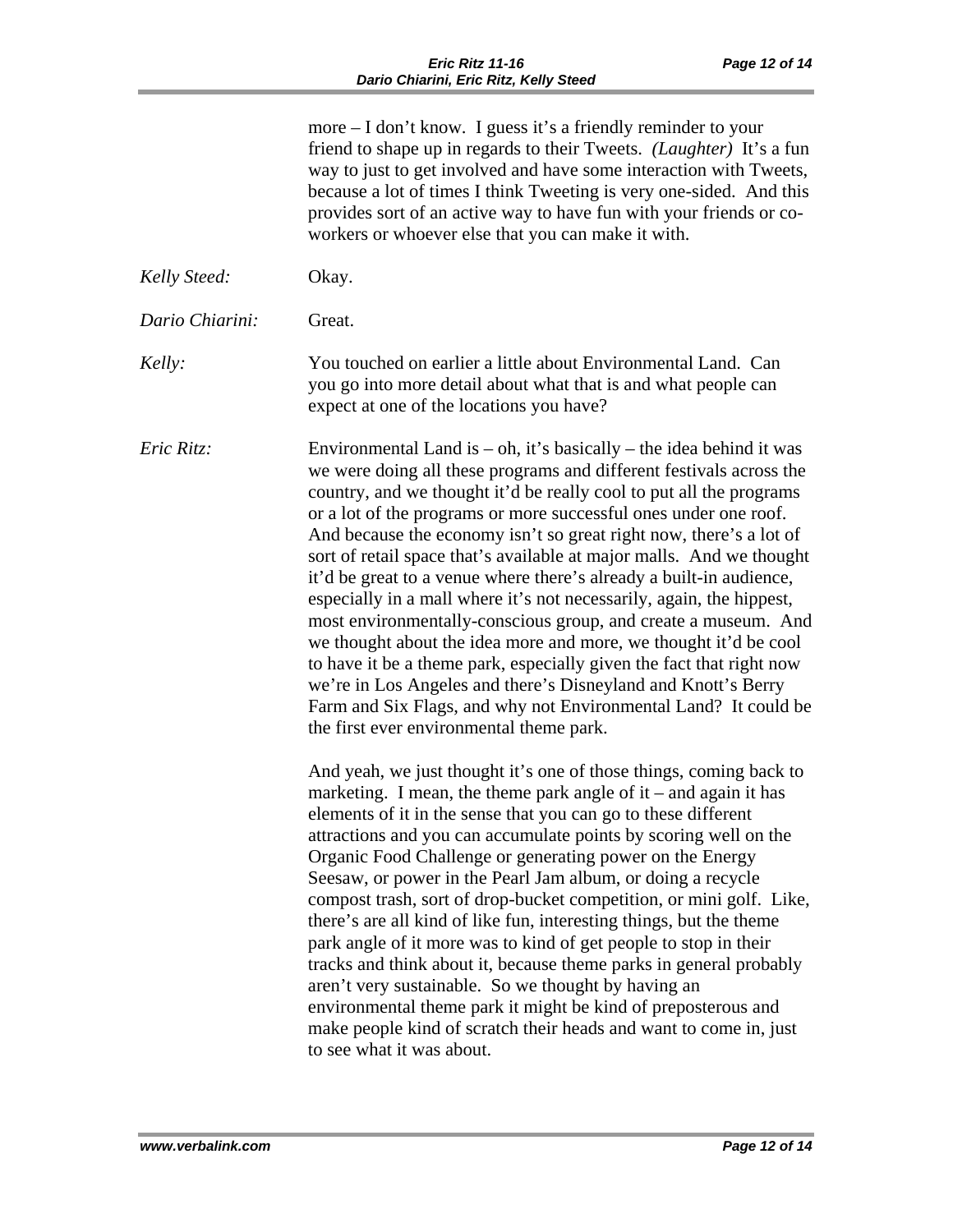|                 | more $-$ I don't know. I guess it's a friendly reminder to your<br>friend to shape up in regards to their Tweets. (Laughter) It's a fun<br>way to just to get involved and have some interaction with Tweets,<br>because a lot of times I think Tweeting is very one-sided. And this<br>provides sort of an active way to have fun with your friends or co-<br>workers or whoever else that you can make it with.                                                                                                                                                                                                                                                                                                                                                                                                                                                                                                                                                                    |
|-----------------|--------------------------------------------------------------------------------------------------------------------------------------------------------------------------------------------------------------------------------------------------------------------------------------------------------------------------------------------------------------------------------------------------------------------------------------------------------------------------------------------------------------------------------------------------------------------------------------------------------------------------------------------------------------------------------------------------------------------------------------------------------------------------------------------------------------------------------------------------------------------------------------------------------------------------------------------------------------------------------------|
| Kelly Steed:    | Okay.                                                                                                                                                                                                                                                                                                                                                                                                                                                                                                                                                                                                                                                                                                                                                                                                                                                                                                                                                                                |
| Dario Chiarini: | Great.                                                                                                                                                                                                                                                                                                                                                                                                                                                                                                                                                                                                                                                                                                                                                                                                                                                                                                                                                                               |
| Kelly:          | You touched on earlier a little about Environmental Land. Can<br>you go into more detail about what that is and what people can<br>expect at one of the locations you have?                                                                                                                                                                                                                                                                                                                                                                                                                                                                                                                                                                                                                                                                                                                                                                                                          |
| Eric Ritz:      | Environmental Land is $-$ oh, it's basically $-$ the idea behind it was<br>we were doing all these programs and different festivals across the<br>country, and we thought it'd be really cool to put all the programs<br>or a lot of the programs or more successful ones under one roof.<br>And because the economy isn't so great right now, there's a lot of<br>sort of retail space that's available at major malls. And we thought<br>it'd be great to a venue where there's already a built-in audience,<br>especially in a mall where it's not necessarily, again, the hippest,<br>most environmentally-conscious group, and create a museum. And<br>we thought about the idea more and more, we thought it'd be cool<br>to have it be a theme park, especially given the fact that right now<br>we're in Los Angeles and there's Disneyland and Knott's Berry<br>Farm and Six Flags, and why not Environmental Land? It could be<br>the first ever environmental theme park. |
|                 | And yeah, we just thought it's one of those things, coming back to<br>marketing. I mean, the theme park angle of it – and again it has<br>elements of it in the sense that you can go to these different<br>attractions and you can accumulate points by scoring well on the<br>Organic Food Challenge or generating power on the Energy<br>Seesaw, or power in the Pearl Jam album, or doing a recycle<br>compost trash, sort of drop-bucket competition, or mini golf. Like,<br>there's are all kind of like fun, interesting things, but the theme<br>park angle of it more was to kind of get people to stop in their<br>tracks and think about it, because theme parks in general probably<br>aren't very sustainable. So we thought by having an<br>environmental theme park it might be kind of preposterous and<br>make people kind of scratch their heads and want to come in, just<br>to see what it was about.                                                            |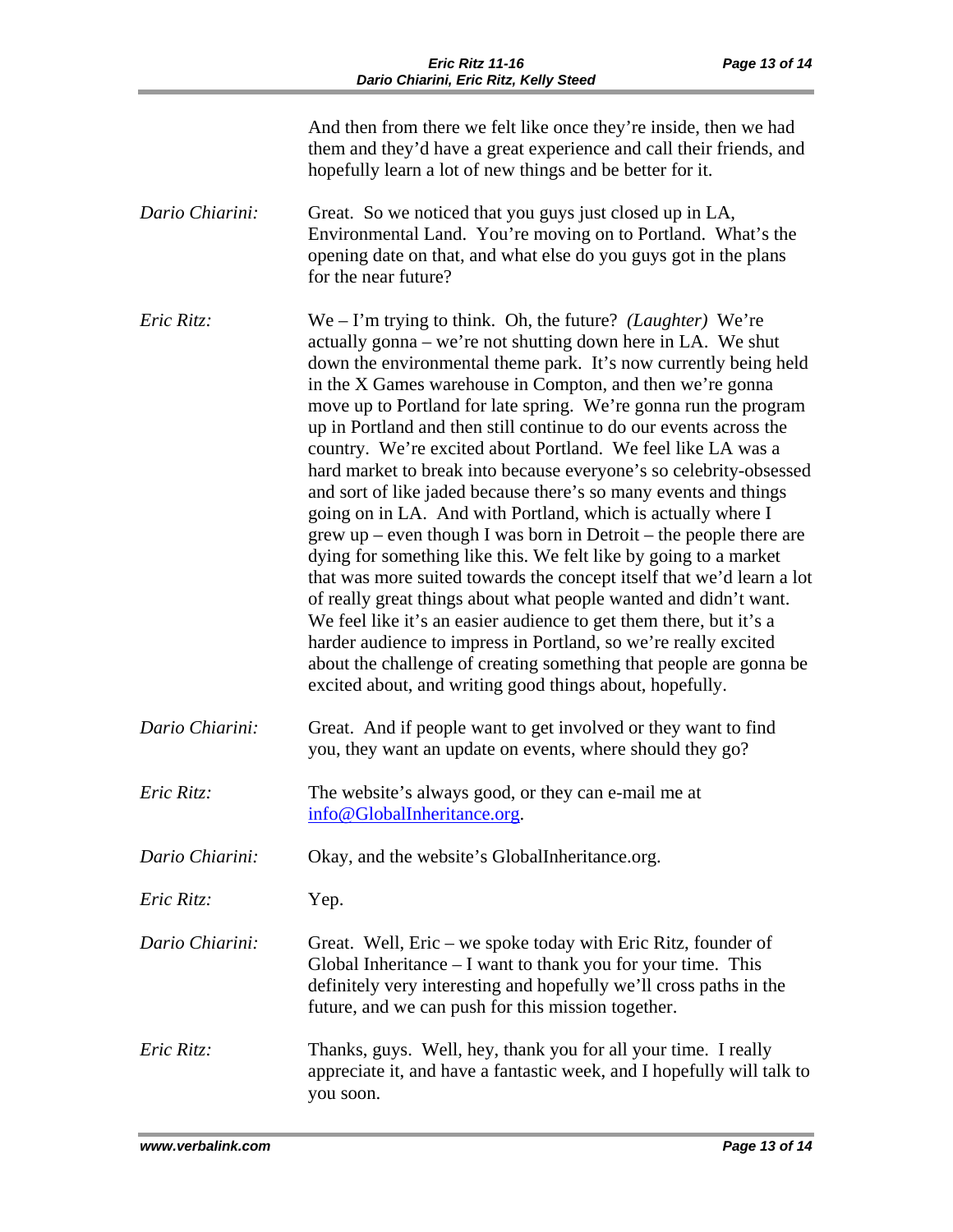|                 | And then from there we felt like once they're inside, then we had<br>them and they'd have a great experience and call their friends, and<br>hopefully learn a lot of new things and be better for it.                                                                                                                                                                                                                                                                                                                                                                                                                                                                                                                                                                                                                                                                                                                                                                                                                                                                                                                                                                                                                                                |
|-----------------|------------------------------------------------------------------------------------------------------------------------------------------------------------------------------------------------------------------------------------------------------------------------------------------------------------------------------------------------------------------------------------------------------------------------------------------------------------------------------------------------------------------------------------------------------------------------------------------------------------------------------------------------------------------------------------------------------------------------------------------------------------------------------------------------------------------------------------------------------------------------------------------------------------------------------------------------------------------------------------------------------------------------------------------------------------------------------------------------------------------------------------------------------------------------------------------------------------------------------------------------------|
| Dario Chiarini: | Great. So we noticed that you guys just closed up in LA,<br>Environmental Land. You're moving on to Portland. What's the<br>opening date on that, and what else do you guys got in the plans<br>for the near future?                                                                                                                                                                                                                                                                                                                                                                                                                                                                                                                                                                                                                                                                                                                                                                                                                                                                                                                                                                                                                                 |
| Eric Ritz:      | We – I'm trying to think. Oh, the future? (Laughter) We're<br>actually gonna – we're not shutting down here in LA. We shut<br>down the environmental theme park. It's now currently being held<br>in the X Games warehouse in Compton, and then we're gonna<br>move up to Portland for late spring. We're gonna run the program<br>up in Portland and then still continue to do our events across the<br>country. We're excited about Portland. We feel like LA was a<br>hard market to break into because everyone's so celebrity-obsessed<br>and sort of like jaded because there's so many events and things<br>going on in LA. And with Portland, which is actually where I<br>$g$ rew up – even though I was born in Detroit – the people there are<br>dying for something like this. We felt like by going to a market<br>that was more suited towards the concept itself that we'd learn a lot<br>of really great things about what people wanted and didn't want.<br>We feel like it's an easier audience to get them there, but it's a<br>harder audience to impress in Portland, so we're really excited<br>about the challenge of creating something that people are gonna be<br>excited about, and writing good things about, hopefully. |
| Dario Chiarini: | Great. And if people want to get involved or they want to find<br>you, they want an update on events, where should they go?                                                                                                                                                                                                                                                                                                                                                                                                                                                                                                                                                                                                                                                                                                                                                                                                                                                                                                                                                                                                                                                                                                                          |
| Eric Ritz:      | The website's always good, or they can e-mail me at<br>info@GlobalInheritance.org.                                                                                                                                                                                                                                                                                                                                                                                                                                                                                                                                                                                                                                                                                                                                                                                                                                                                                                                                                                                                                                                                                                                                                                   |
| Dario Chiarini: | Okay, and the website's GlobalInheritance.org.                                                                                                                                                                                                                                                                                                                                                                                                                                                                                                                                                                                                                                                                                                                                                                                                                                                                                                                                                                                                                                                                                                                                                                                                       |
| Eric Ritz:      | Yep.                                                                                                                                                                                                                                                                                                                                                                                                                                                                                                                                                                                                                                                                                                                                                                                                                                                                                                                                                                                                                                                                                                                                                                                                                                                 |
| Dario Chiarini: | Great. Well, Eric – we spoke today with Eric Ritz, founder of<br>Global Inheritance $-$ I want to thank you for your time. This<br>definitely very interesting and hopefully we'll cross paths in the<br>future, and we can push for this mission together.                                                                                                                                                                                                                                                                                                                                                                                                                                                                                                                                                                                                                                                                                                                                                                                                                                                                                                                                                                                          |
| Eric Ritz:      | Thanks, guys. Well, hey, thank you for all your time. I really<br>appreciate it, and have a fantastic week, and I hopefully will talk to<br>you soon.                                                                                                                                                                                                                                                                                                                                                                                                                                                                                                                                                                                                                                                                                                                                                                                                                                                                                                                                                                                                                                                                                                |